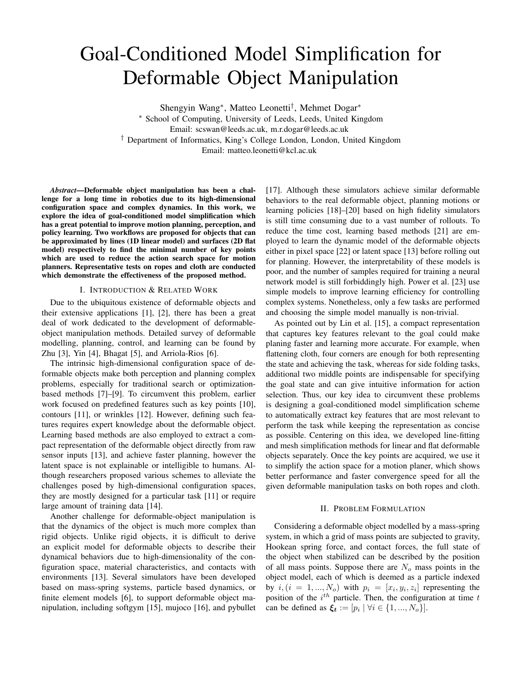# Goal-Conditioned Model Simplification for Deformable Object Manipulation

Shengyin Wang<sup>∗</sup> , Matteo Leonetti† , Mehmet Dogar<sup>∗</sup>

<sup>∗</sup> School of Computing, University of Leeds, Leeds, United Kingdom Email: scswan@leeds.ac.uk, m.r.dogar@leeds.ac.uk † Department of Informatics, King's College London, London, United Kingdom

Email: matteo.leonetti@kcl.ac.uk

*Abstract*—Deformable object manipulation has been a challenge for a long time in robotics due to its high-dimensional configuration space and complex dynamics. In this work, we explore the idea of goal-conditioned model simplification which has a great potential to improve motion planning, perception, and policy learning. Two workflows are proposed for objects that can be approximated by lines (1D linear model) and surfaces (2D flat model) respectively to find the minimal number of key points which are used to reduce the action search space for motion planners. Representative tests on ropes and cloth are conducted which demonstrate the effectiveness of the proposed method.

# I. INTRODUCTION & RELATED WORK

Due to the ubiquitous existence of deformable objects and their extensive applications [\[1\]](#page-3-0), [\[2\]](#page-3-1), there has been a great deal of work dedicated to the development of deformableobject manipulation methods. Detailed survey of deformable modelling, planning, control, and learning can be found by Zhu [\[3\]](#page-3-2), Yin [\[4\]](#page-3-3), Bhagat [\[5\]](#page-3-4), and Arriola-Rios [\[6\]](#page-3-5).

The intrinsic high-dimensional configuration space of deformable objects make both perception and planning complex problems, especially for traditional search or optimizationbased methods [\[7\]](#page-3-6)–[\[9\]](#page-3-7). To circumvent this problem, earlier work focused on predefined features such as key points [\[10\]](#page-3-8), contours [\[11\]](#page-3-9), or wrinkles [\[12\]](#page-3-10). However, defining such features requires expert knowledge about the deformable object. Learning based methods are also employed to extract a compact representation of the deformable object directly from raw sensor inputs [\[13\]](#page-3-11), and achieve faster planning, however the latent space is not explainable or intelligible to humans. Although researchers proposed various schemes to alleviate the challenges posed by high-dimensional configuration spaces, they are mostly designed for a particular task [\[11\]](#page-3-9) or require large amount of training data [\[14\]](#page-3-12).

Another challenge for deformable-object manipulation is that the dynamics of the object is much more complex than rigid objects. Unlike rigid objects, it is difficult to derive an explicit model for deformable objects to describe their dynamical behaviors due to high-dimensionality of the configuration space, material characteristics, and contacts with environments [\[13\]](#page-3-11). Several simulators have been developed based on mass-spring systems, particle based dynamics, or finite element models [\[6\]](#page-3-5), to support deformable object manipulation, including softgym [\[15\]](#page-3-13), mujoco [\[16\]](#page-3-14), and pybullet

[\[17\]](#page-3-15). Although these simulators achieve similar deformable behaviors to the real deformable object, planning motions or learning policies [\[18\]](#page-3-16)–[\[20\]](#page-3-17) based on high fidelity simulators is still time consuming due to a vast number of rollouts. To reduce the time cost, learning based methods [\[21\]](#page-3-18) are employed to learn the dynamic model of the deformable objects either in pixel space [\[22\]](#page-3-19) or latent space [\[13\]](#page-3-11) before rolling out for planning. However, the interpretability of these models is poor, and the number of samples required for training a neural network model is still forbiddingly high. Power et al. [\[23\]](#page-3-20) use simple models to improve learning efficiency for controlling complex systems. Nonetheless, only a few tasks are performed and choosing the simple model manually is non-trivial.

As pointed out by Lin et al. [\[15\]](#page-3-13), a compact representation that captures key features relevant to the goal could make planing faster and learning more accurate. For example, when flattening cloth, four corners are enough for both representing the state and achieving the task, whereas for side folding tasks, additional two middle points are indispensable for specifying the goal state and can give intuitive information for action selection. Thus, our key idea to circumvent these problems is designing a goal-conditioned model simplification scheme to automatically extract key features that are most relevant to perform the task while keeping the representation as concise as possible. Centering on this idea, we developed line-fitting and mesh simplification methods for linear and flat deformable objects separately. Once the key points are acquired, we use it to simplify the action space for a motion planer, which shows better performance and faster convergence speed for all the given deformable manipulation tasks on both ropes and cloth.

## II. PROBLEM FORMULATION

Considering a deformable object modelled by a mass-spring system, in which a grid of mass points are subjected to gravity, Hookean spring force, and contact forces, the full state of the object when stabilized can be described by the position of all mass points. Suppose there are  $N<sub>o</sub>$  mass points in the object model, each of which is deemed as a particle indexed by  $i, (i = 1, ..., N_o)$  with  $p_i = [x_i, y_i, z_i]$  representing the position of the  $i^{th}$  particle. Then, the configuration at time  $t$ can be defined as  $\xi_t := [p_i \mid \forall i \in \{1, ..., N_o\}]$ .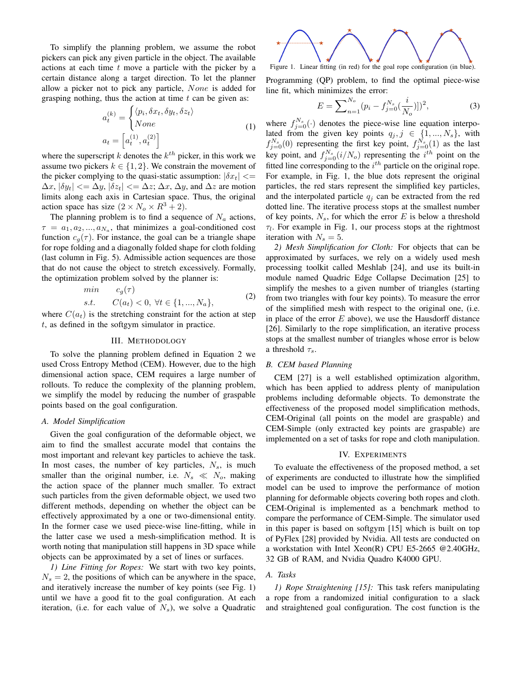To simplify the planning problem, we assume the robot pickers can pick any given particle in the object. The available actions at each time  $t$  move a particle with the picker by a certain distance along a target direction. To let the planner allow a picker not to pick any particle, None is added for grasping nothing, thus the action at time  $t$  can be given as:

$$
a_t^{(k)} = \begin{cases} \langle p_i, \delta x_t, \delta y_t, \delta z_t \rangle \\ None \\ de = \left[ a_t^{(1)}, a_t^{(2)} \right] \end{cases}
$$
 (1)

where the superscript  $k$  denotes the  $k^{th}$  picker, in this work we assume two pickers  $k \in \{1, 2\}$ . We constrain the movement of the picker complying to the quasi-static assumption:  $|\delta x_t| \ll 1$  $\Delta x$ ,  $|\delta y_t| \ll \Delta y$ ,  $|\delta z_t| \ll \Delta z$ ;  $\Delta x$ ,  $\Delta y$ , and  $\Delta z$  are motion limits along each axis in Cartesian space. Thus, the original action space has size  $(2 \times N_o \times R^3 + 2)$ .

The planning problem is to find a sequence of  $N_a$  actions,  $\tau = a_1, a_2, ..., a_{N_a}$ , that minimizes a goal-conditioned cost function  $c_g(\tau)$ . For instance, the goal can be a triangle shape for rope folding and a diagonally folded shape for cloth folding (last column in Fig. [5\)](#page-2-0). Admissible action sequences are those that do not cause the object to stretch excessively. Formally, the optimization problem solved by the planner is:

$$
\begin{array}{ll}\nmin & c_g(\tau) \\
s.t. & C(a_t) < 0, \ \forall t \in \{1, ..., N_a\},\n\end{array} \tag{2}
$$

<span id="page-1-0"></span>where  $C(a_t)$  is the stretching constraint for the action at step t, as defined in the softgym simulator in practice.

## III. METHODOLOGY

To solve the planning problem defined in Equation [2](#page-1-0) we used Cross Entropy Method (CEM). However, due to the high dimensional action space, CEM requires a large number of rollouts. To reduce the complexity of the planning problem, we simplify the model by reducing the number of graspable points based on the goal configuration.

# *A. Model Simplification*

Given the goal configuration of the deformable object, we aim to find the smallest accurate model that contains the most important and relevant key particles to achieve the task. In most cases, the number of key particles,  $N_s$ , is much smaller than the original number, i.e.  $N_s \ll N_o$ , making the action space of the planner much smaller. To extract such particles from the given deformable object, we used two different methods, depending on whether the object can be effectively approximated by a one or two-dimensional entity. In the former case we used piece-wise line-fitting, while in the latter case we used a mesh-simplification method. It is worth noting that manipulation still happens in 3D space while objects can be approximated by a set of lines or surfaces.

*1) Line Fitting for Ropes:* We start with two key points,  $N_s = 2$ , the positions of which can be anywhere in the space, and iteratively increase the number of key points (see Fig. [1\)](#page-1-1) until we have a good fit to the goal configuration. At each iteration, (i.e. for each value of  $N_s$ ), we solve a Quadratic



<span id="page-1-1"></span>Programming (QP) problem, to find the optimal piece-wise

line fit, which minimizes the error:

$$
E = \sum_{n=1}^{N_o} (p_i - f_{j=0}^{N_s}(\frac{i}{N_o})])^2,
$$
\n(3)

where  $f_{j=0}^{N_s}(\cdot)$  denotes the piece-wise line equation interpolated from the given key points  $q_j, j \in \{1, ..., N_s\}$ , with  $f_{j=0}^{N_s}(0)$  representing the first key point,  $f_{j=0}^{N_s}(1)$  as the last key point, and  $f_{j=0}^{N_s}(i/N_o)$  representing the  $i^{th}$  point on the fitted line corresponding to the  $i^{th}$  particle on the original rope. For example, in Fig. [1,](#page-1-1) the blue dots represent the original particles, the red stars represent the simplified key particles, and the interpolated particle  $q_j$  can be extracted from the red dotted line. The iterative process stops at the smallest number of key points,  $N_s$ , for which the error E is below a threshold  $\tau_l$ . For example in Fig. [1,](#page-1-1) our process stops at the rightmost iteration with  $N_s = 5$ .

*2) Mesh Simplification for Cloth:* For objects that can be approximated by surfaces, we rely on a widely used mesh processing toolkit called Meshlab [\[24\]](#page-3-21), and use its built-in module named Quadric Edge Collapse Decimation [\[25\]](#page-3-22) to simplify the meshes to a given number of triangles (starting from two triangles with four key points). To measure the error of the simplified mesh with respect to the original one, (i.e. in place of the error  $E$  above), we use the Hausdorff distance [\[26\]](#page-3-23). Similarly to the rope simplification, an iterative process stops at the smallest number of triangles whose error is below a threshold  $\tau_s$ .

# *B. CEM based Planning*

CEM [\[27\]](#page-3-24) is a well established optimization algorithm, which has been applied to address plenty of manipulation problems including deformable objects. To demonstrate the effectiveness of the proposed model simplification methods, CEM-Original (all points on the model are graspable) and CEM-Simple (only extracted key points are graspable) are implemented on a set of tasks for rope and cloth manipulation.

#### IV. EXPERIMENTS

To evaluate the effectiveness of the proposed method, a set of experiments are conducted to illustrate how the simplified model can be used to improve the performance of motion planning for deformable objects covering both ropes and cloth. CEM-Original is implemented as a benchmark method to compare the performance of CEM-Simple. The simulator used in this paper is based on softgym [\[15\]](#page-3-13) which is built on top of PyFlex [\[28\]](#page-3-25) provided by Nvidia. All tests are conducted on a workstation with Intel Xeon(R) CPU E5-2665 @2.40GHz, 32 GB of RAM, and Nvidia Quadro K4000 GPU.

#### *A. Tasks*

*1) Rope Straightening [\[15\]](#page-3-13):* This task refers manipulating a rope from a randomized initial configuration to a slack and straightened goal configuration. The cost function is the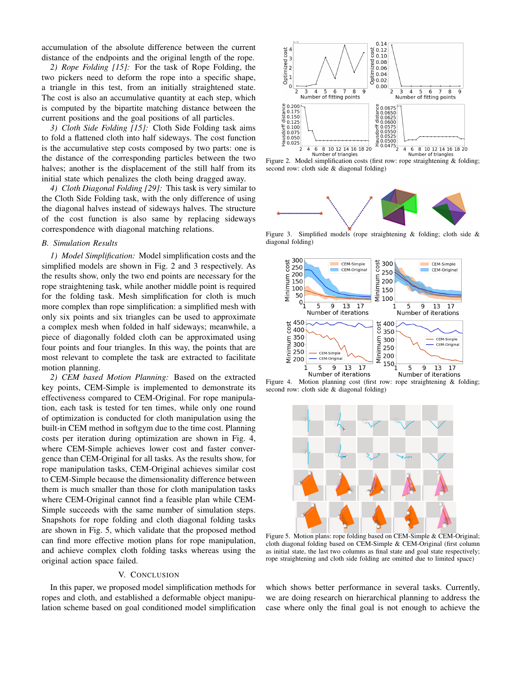accumulation of the absolute difference between the current distance of the endpoints and the original length of the rope.

*2) Rope Folding [\[15\]](#page-3-13):* For the task of Rope Folding, the two pickers need to deform the rope into a specific shape, a triangle in this test, from an initially straightened state. The cost is also an accumulative quantity at each step, which is computed by the bipartite matching distance between the current positions and the goal positions of all particles.

*3) Cloth Side Folding [\[15\]](#page-3-13):* Cloth Side Folding task aims to fold a flattened cloth into half sideways. The cost function is the accumulative step costs composed by two parts: one is the distance of the corresponding particles between the two halves; another is the displacement of the still half from its initial state which penalizes the cloth being dragged away.

*4) Cloth Diagonal Folding [\[29\]](#page-3-26):* This task is very similar to the Cloth Side Folding task, with the only difference of using the diagonal halves instead of sideways halves. The structure of the cost function is also same by replacing sideways correspondence with diagonal matching relations.

### *B. Simulation Results*

*1) Model Simplification:* Model simplification costs and the simplified models are shown in Fig. [2](#page-2-1) and [3](#page-2-2) respectively. As the results show, only the two end points are necessary for the rope straightening task, while another middle point is required for the folding task. Mesh simplification for cloth is much more complex than rope simplification: a simplified mesh with only six points and six triangles can be used to approximate a complex mesh when folded in half sideways; meanwhile, a piece of diagonally folded cloth can be approximated using four points and four triangles. In this way, the points that are most relevant to complete the task are extracted to facilitate motion planning.

*2) CEM based Motion Planning:* Based on the extracted key points, CEM-Simple is implemented to demonstrate its effectiveness compared to CEM-Original. For rope manipulation, each task is tested for ten times, while only one round of optimization is conducted for cloth manipulation using the built-in CEM method in softgym due to the time cost. Planning costs per iteration during optimization are shown in Fig. [4,](#page-2-3) where CEM-Simple achieves lower cost and faster convergence than CEM-Original for all tasks. As the results show, for rope manipulation tasks, CEM-Original achieves similar cost to CEM-Simple because the dimensionality difference between them is much smaller than those for cloth manipulation tasks where CEM-Original cannot find a feasible plan while CEM-Simple succeeds with the same number of simulation steps. Snapshots for rope folding and cloth diagonal folding tasks are shown in Fig. [5,](#page-2-0) which validate that the proposed method can find more effective motion plans for rope manipulation, and achieve complex cloth folding tasks whereas using the original action space failed.

## V. CONCLUSION

In this paper, we proposed model simplification methods for ropes and cloth, and established a deformable object manipulation scheme based on goal conditioned model simplification



<span id="page-2-1"></span>Figure 2. Model simplification costs (first row: rope straightening & folding; second row: cloth side & diagonal folding)



Figure 3. Simplified models (rope straightening & folding; cloth side & diagonal folding)

<span id="page-2-2"></span>

Figure 4. Motion planning cost (first row: rope straightening & folding; second row: cloth side & diagonal folding)

<span id="page-2-3"></span>

<span id="page-2-0"></span>Figure 5. Motion plans: rope folding based on CEM-Simple & CEM-Original; cloth diagonal folding based on CEM-Simple & CEM-Original (first column as initial state, the last two columns as final state and goal state respectively; rope straightening and cloth side folding are omitted due to limited space)

which shows better performance in several tasks. Currently, we are doing research on hierarchical planning to address the case where only the final goal is not enough to achieve the